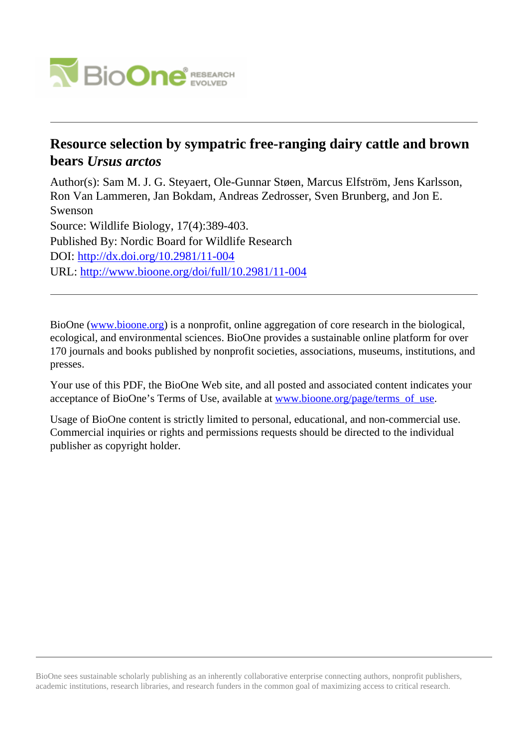

## **Resource selection by sympatric free-ranging dairy cattle and brown bears** *Ursus arctos*

Author(s): Sam M. J. G. Steyaert, Ole-Gunnar Støen, Marcus Elfström, Jens Karlsson, Ron Van Lammeren, Jan Bokdam, Andreas Zedrosser, Sven Brunberg, and Jon E. Swenson Source: Wildlife Biology, 17(4):389-403. Published By: Nordic Board for Wildlife Research DOI:<http://dx.doi.org/10.2981/11-004> URL: <http://www.bioone.org/doi/full/10.2981/11-004>

BioOne [\(www.bioone.org\)](http://www.bioone.org) is a nonprofit, online aggregation of core research in the biological, ecological, and environmental sciences. BioOne provides a sustainable online platform for over 170 journals and books published by nonprofit societies, associations, museums, institutions, and presses.

Your use of this PDF, the BioOne Web site, and all posted and associated content indicates your acceptance of BioOne's Terms of Use, available at [www.bioone.org/page/terms\\_of\\_use.](http://www.bioone.org/page/terms_of_use)

Usage of BioOne content is strictly limited to personal, educational, and non-commercial use. Commercial inquiries or rights and permissions requests should be directed to the individual publisher as copyright holder.

BioOne sees sustainable scholarly publishing as an inherently collaborative enterprise connecting authors, nonprofit publishers, academic institutions, research libraries, and research funders in the common goal of maximizing access to critical research.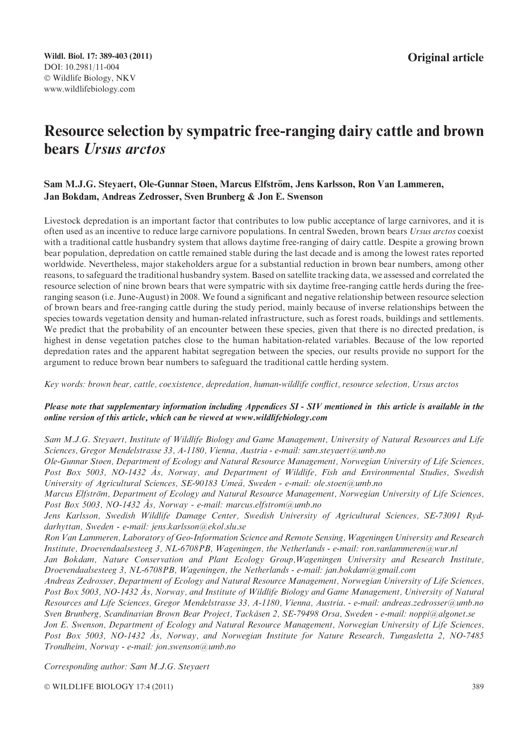# Resource selection by sympatric free-ranging dairy cattle and brown bears Ursus arctos

## Sam M.J.G. Steyaert, Ole-Gunnar Støen, Marcus Elfström, Jens Karlsson, Ron Van Lammeren, Jan Bokdam, Andreas Zedrosser, Sven Brunberg & Jon E. Swenson

Livestock depredation is an important factor that contributes to low public acceptance of large carnivores, and it is often used as an incentive to reduce large carnivore populations. In central Sweden, brown bears Ursus arctos coexist with a traditional cattle husbandry system that allows daytime free-ranging of dairy cattle. Despite a growing brown bear population, depredation on cattle remained stable during the last decade and is among the lowest rates reported worldwide. Nevertheless, major stakeholders argue for a substantial reduction in brown bear numbers, among other reasons, to safeguard the traditional husbandry system. Based on satellite tracking data, we assessed and correlated the resource selection of nine brown bears that were sympatric with six daytime free-ranging cattle herds during the freeranging season (i.e. June-August) in 2008. We found a significant and negative relationship between resource selection of brown bears and free-ranging cattle during the study period, mainly because of inverse relationships between the species towards vegetation density and human-related infrastructure, such as forest roads, buildings and settlements. We predict that the probability of an encounter between these species, given that there is no directed predation, is highest in dense vegetation patches close to the human habitation-related variables. Because of the low reported depredation rates and the apparent habitat segregation between the species, our results provide no support for the argument to reduce brown bear numbers to safeguard the traditional cattle herding system.

Key words: brown bear, cattle, coexistence, depredation, human-wildlife conflict, resource selection, Ursus arctos

## Please note that supplementary information including Appendices SI - SIV mentioned in this article is available in the online version of this article, which can be viewed at www.wildlifebiology.com

Sam M.J.G. Steyaert, Institute of Wildlife Biology and Game Management, University of Natural Resources and Life Sciences, Gregor Mendelstrasse 33, A-1180, Vienna, Austria - e-mail: sam.steyaert@umb.no

Ole-Gunnar Støen, Department of Ecology and Natural Resource Management, Norwegian University of Life Sciences, Post Box 5003, NO-1432 Ås, Norway, and Department of Wildlife, Fish and Environmental Studies, Swedish University of Agricultural Sciences, SE-90183 Umeå, Sweden - e-mail: ole.stoen@umb.no

Marcus Elfström, Department of Ecology and Natural Resource Management, Norwegian University of Life Sciences, Post Box 5003, NO-1432 Ås, Norway - e-mail: marcus.elfstrom@umb.no

Jens Karlsson, Swedish Wildlife Damage Center, Swedish University of Agricultural Sciences, SE-73091 Ryddarhyttan, Sweden - e-mail: jens.karlsson@ekol.slu.se

Ron Van Lammeren, Laboratory of Geo-Information Science and Remote Sensing, Wageningen University and Research Institute, Droevendaalsesteeg 3, NL-6708PB, Wageningen, the Netherlands - e-mail: ron.vanlammeren@wur.nl

Jan Bokdam, Nature Conservation and Plant Ecology Group,Wageningen University and Research Institute, Droevendaalsesteeg 3, NL-6708PB, Wageningen, the Netherlands - e-mail: jan.bokdam@gmail.com

Andreas Zedrosser, Department of Ecology and Natural Resource Management, Norwegian University of Life Sciences, Post Box 5003, NO-1432 Ås, Norway, and Institute of Wildlife Biology and Game Management, University of Natural Resources and Life Sciences, Gregor Mendelstrasse 33, A-1180, Vienna, Austria. - e-mail: andreas.zedrosser@umb.no Sven Brunberg, Scandinavian Brown Bear Project, Tackåsen 2, SE-79498 Orsa, Sweden - e-mail: noppi@algonet.se Jon E. Swenson, Department of Ecology and Natural Resource Management, Norwegian University of Life Sciences,

Post Box 5003, NO-1432 Ås, Norway, and Norwegian Institute for Nature Research, Tungasletta 2, NO-7485 Trondheim, Norway - e-mail: jon.swenson@umb.no

Corresponding author: Sam M.J.G. Steyaert

© WILDLIFE BIOLOGY 17:4 (2011) 389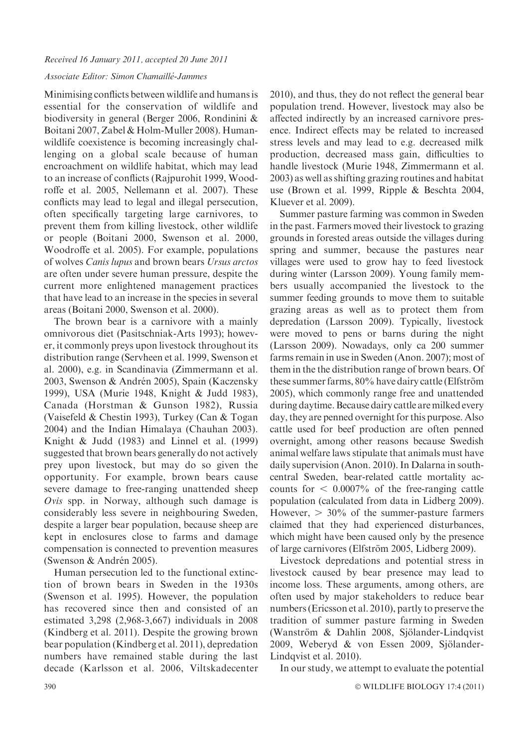#### Received 16 January 2011, accepted 20 June 2011

#### Associate Editor: Simon Chamaillé-Jammes

Minimising conflicts between wildlife and humans is essential for the conservation of wildlife and biodiversity in general (Berger 2006, Rondinini & Boitani 2007, Zabel & Holm-Muller 2008). Humanwildlife coexistence is becoming increasingly challenging on a global scale because of human encroachment on wildlife habitat, which may lead to an increase of conflicts (Rajpurohit 1999, Woodroffe et al. 2005, Nellemann et al. 2007). These conflicts may lead to legal and illegal persecution, often specifically targeting large carnivores, to prevent them from killing livestock, other wildlife or people (Boitani 2000, Swenson et al. 2000, Woodroffe et al. 2005). For example, populations of wolves Canis lupus and brown bears Ursus arctos are often under severe human pressure, despite the current more enlightened management practices that have lead to an increase in the species in several areas (Boitani 2000, Swenson et al. 2000).

The brown bear is a carnivore with a mainly omnivorous diet (Pasitschniak-Arts 1993); however, it commonly preys upon livestock throughout its distribution range (Servheen et al. 1999, Swenson et al. 2000), e.g. in Scandinavia (Zimmermann et al. 2003, Swenson & Andrén 2005), Spain (Kaczensky 1999), USA (Murie 1948, Knight & Judd 1983), Canada (Horstman & Gunson 1982), Russia (Vaisefeld & Chestin 1993), Turkey (Can & Togan 2004) and the Indian Himalaya (Chauhan 2003). Knight & Judd (1983) and Linnel et al. (1999) suggested that brown bears generally do not actively prey upon livestock, but may do so given the opportunity. For example, brown bears cause severe damage to free-ranging unattended sheep  $Ovis$  spp. in Norway, although such damage is considerably less severe in neighbouring Sweden, despite a larger bear population, because sheep are kept in enclosures close to farms and damage compensation is connected to prevention measures (Swenson & Andrén 2005).

Human persecution led to the functional extinction of brown bears in Sweden in the 1930s (Swenson et al. 1995). However, the population has recovered since then and consisted of an estimated 3,298 (2,968-3,667) individuals in 2008 (Kindberg et al. 2011). Despite the growing brown bear population (Kindberg et al. 2011), depredation numbers have remained stable during the last decade (Karlsson et al. 2006, Viltskadecenter

2010), and thus, they do not reflect the general bear population trend. However, livestock may also be affected indirectly by an increased carnivore presence. Indirect effects may be related to increased stress levels and may lead to e.g. decreased milk production, decreased mass gain, difficulties to handle livestock (Murie 1948, Zimmermann et al. 2003) as well as shifting grazing routines and habitat use (Brown et al. 1999, Ripple & Beschta 2004, Kluever et al. 2009).

Summer pasture farming was common in Sweden in the past. Farmers moved their livestock to grazing grounds in forested areas outside the villages during spring and summer, because the pastures near villages were used to grow hay to feed livestock during winter (Larsson 2009). Young family members usually accompanied the livestock to the summer feeding grounds to move them to suitable grazing areas as well as to protect them from depredation (Larsson 2009). Typically, livestock were moved to pens or barns during the night (Larsson 2009). Nowadays, only ca 200 summer farms remain in use in Sweden (Anon. 2007); most of them in the the distribution range of brown bears. Of these summer farms, 80% have dairy cattle (Elfström 2005), which commonly range free and unattended during daytime. Because dairy cattle are milked every day, they are penned overnight for this purpose. Also cattle used for beef production are often penned overnight, among other reasons because Swedish animal welfare laws stipulate that animals must have daily supervision (Anon. 2010). In Dalarna in southcentral Sweden, bear-related cattle mortality accounts for  $\leq 0.0007\%$  of the free-ranging cattle population (calculated from data in Lidberg 2009). However,  $> 30\%$  of the summer-pasture farmers claimed that they had experienced disturbances, which might have been caused only by the presence of large carnivores (Elfström 2005, Lidberg 2009).

Livestock depredations and potential stress in livestock caused by bear presence may lead to income loss. These arguments, among others, are often used by major stakeholders to reduce bear numbers (Ericsson et al. 2010), partly to preserve the tradition of summer pasture farming in Sweden (Wanström & Dahlin 2008, Sjölander-Lindqvist 2009, Weberyd & von Essen 2009, Sjölander-Lindqvist et al. 2010).

In our study, we attempt to evaluate the potential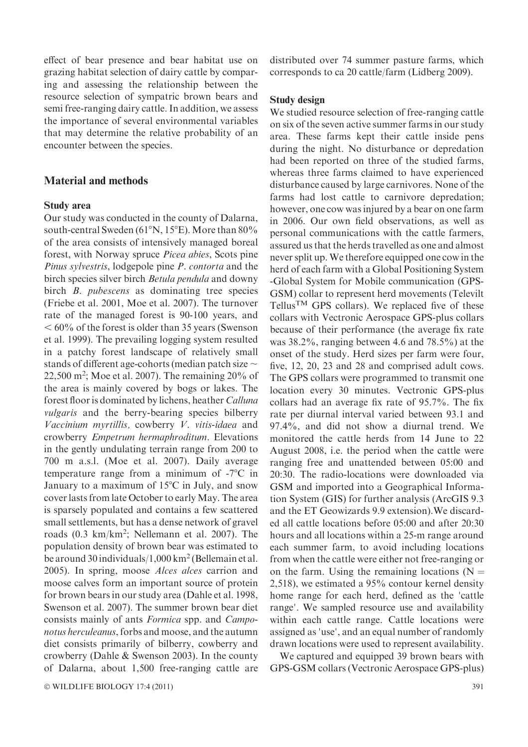effect of bear presence and bear habitat use on grazing habitat selection of dairy cattle by comparing and assessing the relationship between the resource selection of sympatric brown bears and semi free-ranging dairy cattle. In addition, we assess the importance of several environmental variables that may determine the relative probability of an encounter between the species.

## Material and methods

#### Study area

Our study was conducted in the county of Dalarna, south-central Sweden ( $61^{\circ}$ N,  $15^{\circ}$ E). More than 80% of the area consists of intensively managed boreal forest, with Norway spruce Picea abies, Scots pine Pinus sylvestris, lodgepole pine P. contorta and the birch species silver birch *Betula pendula* and downy birch *B. pubescens* as dominating tree species (Friebe et al. 2001, Moe et al. 2007). The turnover rate of the managed forest is 90-100 years, and  $< 60\%$  of the forest is older than 35 years (Swenson et al. 1999). The prevailing logging system resulted in a patchy forest landscape of relatively small stands of different age-cohorts (median patch size  $\sim$ 22,500 m<sup>2</sup> ; Moe et al. 2007). The remaining 20% of the area is mainly covered by bogs or lakes. The forest floor is dominated by lichens, heather Calluna vulgaris and the berry-bearing species bilberry Vaccinium myrtillis, cowberry V. vitis-idaea and crowberry Empetrum hermaphroditum. Elevations in the gently undulating terrain range from 200 to 700 m a.s.l. (Moe et al. 2007). Daily average temperature range from a minimum of  $-7^{\circ}\text{C}$  in January to a maximum of  $15^{\circ}$ C in July, and snow cover lasts from late October to early May. The area is sparsely populated and contains a few scattered small settlements, but has a dense network of gravel roads (0.3 km/km<sup>2</sup>; Nellemann et al. 2007). The population density of brown bear was estimated to be around 30 individuals/1,000 km<sup>2</sup> (Bellemain et al. 2005). In spring, moose Alces alces carrion and moose calves form an important source of protein for brown bears in our study area (Dahle et al. 1998, Swenson et al. 2007). The summer brown bear diet consists mainly of ants Formica spp. and Camponotus herculeanus, forbs and moose, and the autumn diet consists primarily of bilberry, cowberry and crowberry (Dahle & Swenson 2003). In the county of Dalarna, about 1,500 free-ranging cattle are

distributed over 74 summer pasture farms, which corresponds to ca 20 cattle/farm (Lidberg 2009).

## Study design

We studied resource selection of free-ranging cattle on six of the seven active summer farms in our study area. These farms kept their cattle inside pens during the night. No disturbance or depredation had been reported on three of the studied farms, whereas three farms claimed to have experienced disturbance caused by large carnivores. None of the farms had lost cattle to carnivore depredation; however, one cow was injured by a bear on one farm in 2006. Our own field observations, as well as personal communications with the cattle farmers, assured us that the herds travelled as one and almost never split up. We therefore equipped one cow in the herd of each farm with a Global Positioning System -Global System for Mobile communication (GPS-GSM) collar to represent herd movements (Televilt Tellus<sup>TM</sup> GPS collars). We replaced five of these collars with Vectronic Aerospace GPS-plus collars because of their performance (the average fix rate was 38.2%, ranging between 4.6 and 78.5%) at the onset of the study. Herd sizes per farm were four, five, 12, 20, 23 and 28 and comprised adult cows. The GPS collars were programmed to transmit one location every 30 minutes. Vectronic GPS-plus collars had an average fix rate of 95.7%. The fix rate per diurnal interval varied between 93.1 and 97.4%, and did not show a diurnal trend. We monitored the cattle herds from 14 June to 22 August 2008, i.e. the period when the cattle were ranging free and unattended between 05:00 and 20:30. The radio-locations were downloaded via GSM and imported into a Geographical Information System (GIS) for further analysis (ArcGIS 9.3 and the ET Geowizards 9.9 extension).We discarded all cattle locations before 05:00 and after 20:30 hours and all locations within a 25-m range around each summer farm, to avoid including locations from when the cattle were either not free-ranging or on the farm. Using the remaining locations ( $N =$ 2,518), we estimated a 95% contour kernel density home range for each herd, defined as the 'cattle range'. We sampled resource use and availability within each cattle range. Cattle locations were assigned as 'use', and an equal number of randomly drawn locations were used to represent availability.

We captured and equipped 39 brown bears with GPS-GSM collars (Vectronic Aerospace GPS-plus)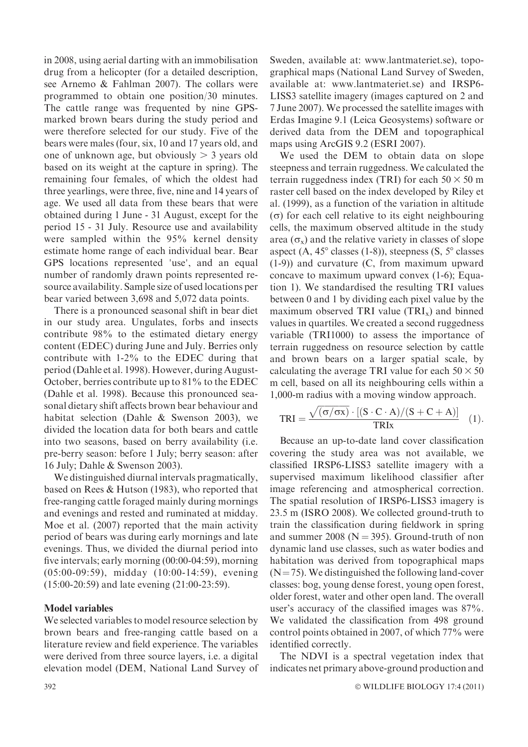in 2008, using aerial darting with an immobilisation drug from a helicopter (for a detailed description, see Arnemo & Fahlman 2007). The collars were programmed to obtain one position/30 minutes. The cattle range was frequented by nine GPSmarked brown bears during the study period and were therefore selected for our study. Five of the bears were males (four, six, 10 and 17 years old, and one of unknown age, but obviously  $> 3$  years old based on its weight at the capture in spring). The remaining four females, of which the oldest had three yearlings, were three, five, nine and 14 years of age. We used all data from these bears that were obtained during 1 June - 31 August, except for the period 15 - 31 July. Resource use and availability were sampled within the 95% kernel density estimate home range of each individual bear. Bear GPS locations represented 'use', and an equal number of randomly drawn points represented resource availability. Sample size of used locations per bear varied between 3,698 and 5,072 data points.

There is a pronounced seasonal shift in bear diet in our study area. Ungulates, forbs and insects contribute 98% to the estimated dietary energy content (EDEC) during June and July. Berries only contribute with 1-2% to the EDEC during that period (Dahle et al. 1998). However, during August-October, berries contribute up to 81% to the EDEC (Dahle et al. 1998). Because this pronounced seasonal dietary shift affects brown bear behaviour and habitat selection (Dahle & Swenson 2003), we divided the location data for both bears and cattle into two seasons, based on berry availability (i.e. pre-berry season: before 1 July; berry season: after 16 July; Dahle & Swenson 2003).

We distinguished diurnal intervals pragmatically, based on Rees & Hutson (1983), who reported that free-ranging cattle foraged mainly during mornings and evenings and rested and ruminated at midday. Moe et al. (2007) reported that the main activity period of bears was during early mornings and late evenings. Thus, we divided the diurnal period into five intervals; early morning (00:00-04:59), morning (05:00-09:59), midday (10:00-14:59), evening (15:00-20:59) and late evening (21:00-23:59).

## Model variables

We selected variables to model resource selection by brown bears and free-ranging cattle based on a literature review and field experience. The variables were derived from three source layers, i.e. a digital elevation model (DEM, National Land Survey of

Sweden, available at: www.lantmateriet.se), topographical maps (National Land Survey of Sweden, available at: www.lantmateriet.se) and IRSP6- LISS3 satellite imagery (images captured on 2 and 7 June 2007). We processed the satellite images with Erdas Imagine 9.1 (Leica Geosystems) software or derived data from the DEM and topographical maps using ArcGIS 9.2 (ESRI 2007).

We used the DEM to obtain data on slope steepness and terrain ruggedness. We calculated the terrain ruggedness index (TRI) for each  $50 \times 50$  m raster cell based on the index developed by Riley et al. (1999), as a function of the variation in altitude  $(\sigma)$  for each cell relative to its eight neighbouring cells, the maximum observed altitude in the study area  $(\sigma_x)$  and the relative variety in classes of slope aspect  $(A, 45^{\circ}$  classes  $(1-8)$ ), steepness  $(S, 5^{\circ}$  classes (1-9)) and curvature (C, from maximum upward concave to maximum upward convex (1-6); Equation 1). We standardised the resulting TRI values between 0 and 1 by dividing each pixel value by the maximum observed TRI value  $(TRI_x)$  and binned values in quartiles. We created a second ruggedness variable (TRI1000) to assess the importance of terrain ruggedness on resource selection by cattle and brown bears on a larger spatial scale, by calculating the average TRI value for each  $50 \times 50$ m cell, based on all its neighbouring cells within a 1,000-m radius with a moving window approach.

$$
TRI = \frac{\sqrt{(\sigma/\sigma x)} \cdot [(S \cdot C \cdot A)/(S + C + A)]}{TRIx}
$$
 (1).

Because an up-to-date land cover classification covering the study area was not available, we classified IRSP6-LISS3 satellite imagery with a supervised maximum likelihood classifier after image referencing and atmospherical correction. The spatial resolution of IRSP6-LISS3 imagery is 23.5 m (ISRO 2008). We collected ground-truth to train the classification during fieldwork in spring and summer 2008 ( $N = 395$ ). Ground-truth of non dynamic land use classes, such as water bodies and habitation was derived from topographical maps  $(N=75)$ . We distinguished the following land-cover classes: bog, young dense forest, young open forest, older forest, water and other open land. The overall user's accuracy of the classified images was 87%. We validated the classification from 498 ground control points obtained in 2007, of which 77% were identified correctly.

The NDVI is a spectral vegetation index that indicates net primary above-ground production and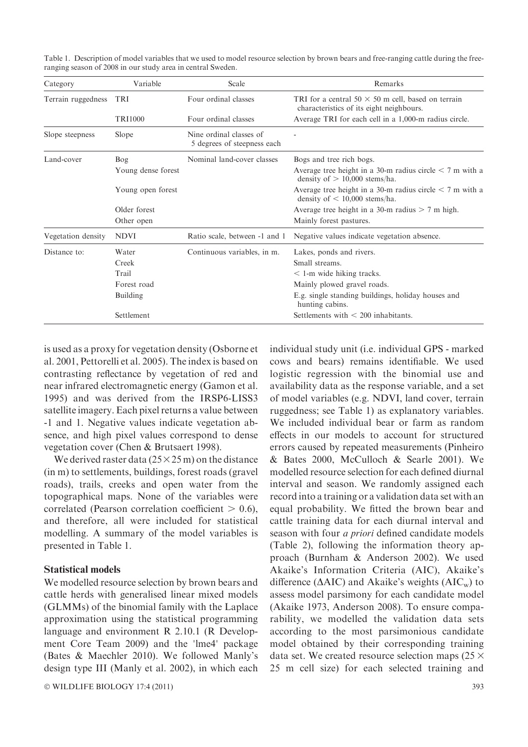Table 1. Description of model variables that we used to model resource selection by brown bears and free-ranging cattle during the freeranging season of 2008 in our study area in central Sweden.

| Category           | Variable           | Scale                                                  | Remarks                                                                                               |  |  |
|--------------------|--------------------|--------------------------------------------------------|-------------------------------------------------------------------------------------------------------|--|--|
| Terrain ruggedness | <b>TRI</b>         | Four ordinal classes                                   | TRI for a central $50 \times 50$ m cell, based on terrain<br>characteristics of its eight neighbours. |  |  |
|                    | <b>TRI1000</b>     | Four ordinal classes                                   | Average TRI for each cell in a 1,000-m radius circle.                                                 |  |  |
| Slope steepness    | Slope              | Nine ordinal classes of<br>5 degrees of steepness each |                                                                                                       |  |  |
| Land-cover         | Bog                | Nominal land-cover classes                             | Bogs and tree rich bogs.                                                                              |  |  |
|                    | Young dense forest |                                                        | Average tree height in a 30-m radius circle $\leq$ 7 m with a<br>density of $> 10,000$ stems/ha.      |  |  |
|                    | Young open forest  |                                                        | Average tree height in a 30-m radius circle $\leq$ 7 m with a<br>density of $\leq 10,000$ stems/ha.   |  |  |
|                    | Older forest       |                                                        | Average tree height in a 30-m radius $> 7$ m high.                                                    |  |  |
|                    | Other open         |                                                        | Mainly forest pastures.                                                                               |  |  |
| Vegetation density | <b>NDVI</b>        | Ratio scale, between -1 and 1                          | Negative values indicate vegetation absence.                                                          |  |  |
| Distance to:       | Water              | Continuous variables, in m.                            | Lakes, ponds and rivers.                                                                              |  |  |
|                    | Creek              |                                                        | Small streams.                                                                                        |  |  |
|                    | Trail              |                                                        | $\leq$ 1-m wide hiking tracks.                                                                        |  |  |
|                    | Forest road        |                                                        | Mainly plowed gravel roads.                                                                           |  |  |
|                    | Building           |                                                        | E.g. single standing buildings, holiday houses and<br>hunting cabins.                                 |  |  |
|                    | Settlement         |                                                        | Settlements with $< 200$ inhabitants.                                                                 |  |  |

is used as a proxy for vegetation density (Osborne et al. 2001, Pettorelli et al. 2005). The index is based on contrasting reflectance by vegetation of red and near infrared electromagnetic energy (Gamon et al. 1995) and was derived from the IRSP6-LISS3 satellite imagery. Each pixel returns a value between -1 and 1. Negative values indicate vegetation absence, and high pixel values correspond to dense vegetation cover (Chen & Brutsaert 1998).

We derived raster data  $(25 \times 25 \text{ m})$  on the distance (in m) to settlements, buildings, forest roads (gravel roads), trails, creeks and open water from the topographical maps. None of the variables were correlated (Pearson correlation coefficient  $> 0.6$ ), and therefore, all were included for statistical modelling. A summary of the model variables is presented in Table 1.

## Statistical models

We modelled resource selection by brown bears and cattle herds with generalised linear mixed models (GLMMs) of the binomial family with the Laplace approximation using the statistical programming language and environment R 2.10.1 (R Development Core Team 2009) and the 'lme4' package (Bates & Maechler 2010). We followed Manly's design type III (Manly et al. 2002), in which each

 $\circ$  WILDLIFE BIOLOGY 17:4 (2011) 393

individual study unit (i.e. individual GPS - marked cows and bears) remains identifiable. We used logistic regression with the binomial use and availability data as the response variable, and a set of model variables (e.g. NDVI, land cover, terrain ruggedness; see Table 1) as explanatory variables. We included individual bear or farm as random effects in our models to account for structured errors caused by repeated measurements (Pinheiro & Bates 2000, McCulloch & Searle 2001). We modelled resource selection for each defined diurnal interval and season. We randomly assigned each record into a training or a validation data set with an equal probability. We fitted the brown bear and cattle training data for each diurnal interval and season with four *a priori* defined candidate models (Table 2), following the information theory approach (Burnham & Anderson 2002). We used Akaike's Information Criteria (AIC), Akaike's difference ( $\triangle AIC$ ) and Akaike's weights ( $AIC_w$ ) to assess model parsimony for each candidate model (Akaike 1973, Anderson 2008). To ensure comparability, we modelled the validation data sets according to the most parsimonious candidate model obtained by their corresponding training data set. We created resource selection maps ( $25 \times$ 25 m cell size) for each selected training and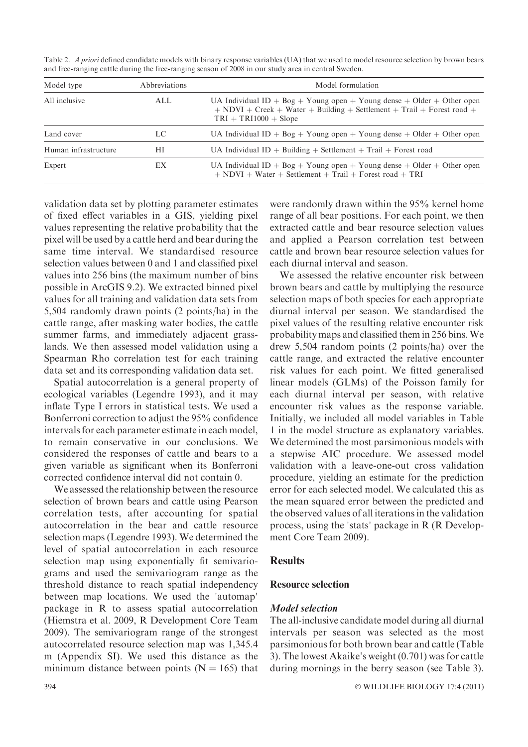| Model type           | <b>Abbreviations</b> | Model formulation                                                                                                                                                             |  |  |  |  |  |
|----------------------|----------------------|-------------------------------------------------------------------------------------------------------------------------------------------------------------------------------|--|--|--|--|--|
| All inclusive        | ALL.                 | UA Individual ID + Bog + Young open + Young dense + Older + Other open<br>$+$ NDVI + Creek + Water + Building + Settlement + Trail + Forest road +<br>$TRI + TRI1000 + Slope$ |  |  |  |  |  |
| Land cover           | LC                   | UA Individual ID + $\text{Bog} + \text{Young open} + \text{Young dense} + \text{Older} + \text{Other open}$                                                                   |  |  |  |  |  |
| Human infrastructure | НI                   | UA Individual $ID + Building + Setlement + Tail + Forest road$                                                                                                                |  |  |  |  |  |
| Expert               | EX                   | UA Individual ID + Bog + Young open + Young dense + Older + Other open<br>$+$ NDVI + Water + Settlement + Trail + Forest road + TRI                                           |  |  |  |  |  |

Table 2. A priori defined candidate models with binary response variables (UA) that we used to model resource selection by brown bears and free-ranging cattle during the free-ranging season of 2008 in our study area in central Sweden.

validation data set by plotting parameter estimates of fixed effect variables in a GIS, yielding pixel values representing the relative probability that the pixel will be used by a cattle herd and bear during the same time interval. We standardised resource selection values between 0 and 1 and classified pixel values into 256 bins (the maximum number of bins possible in ArcGIS 9.2). We extracted binned pixel values for all training and validation data sets from 5,504 randomly drawn points (2 points/ha) in the cattle range, after masking water bodies, the cattle summer farms, and immediately adjacent grasslands. We then assessed model validation using a Spearman Rho correlation test for each training data set and its corresponding validation data set.

Spatial autocorrelation is a general property of ecological variables (Legendre 1993), and it may inflate Type I errors in statistical tests. We used a Bonferroni correction to adjust the 95% confidence intervals for each parameter estimate in each model, to remain conservative in our conclusions. We considered the responses of cattle and bears to a given variable as significant when its Bonferroni corrected confidence interval did not contain 0.

We assessed the relationship between the resource selection of brown bears and cattle using Pearson correlation tests, after accounting for spatial autocorrelation in the bear and cattle resource selection maps (Legendre 1993). We determined the level of spatial autocorrelation in each resource selection map using exponentially fit semivariograms and used the semivariogram range as the threshold distance to reach spatial independency between map locations. We used the 'automap' package in R to assess spatial autocorrelation (Hiemstra et al. 2009, R Development Core Team 2009). The semivariogram range of the strongest autocorrelated resource selection map was 1,345.4 m (Appendix SI). We used this distance as the minimum distance between points ( $N = 165$ ) that

were randomly drawn within the 95% kernel home range of all bear positions. For each point, we then extracted cattle and bear resource selection values and applied a Pearson correlation test between cattle and brown bear resource selection values for each diurnal interval and season.

We assessed the relative encounter risk between brown bears and cattle by multiplying the resource selection maps of both species for each appropriate diurnal interval per season. We standardised the pixel values of the resulting relative encounter risk probability maps and classified them in 256 bins.We drew 5,504 random points (2 points/ha) over the cattle range, and extracted the relative encounter risk values for each point. We fitted generalised linear models (GLMs) of the Poisson family for each diurnal interval per season, with relative encounter risk values as the response variable. Initially, we included all model variables in Table 1 in the model structure as explanatory variables. We determined the most parsimonious models with a stepwise AIC procedure. We assessed model validation with a leave-one-out cross validation procedure, yielding an estimate for the prediction error for each selected model. We calculated this as the mean squared error between the predicted and the observed values of all iterations in the validation process, using the 'stats' package in R (R Development Core Team 2009).

## **Results**

## Resource selection

## Model selection

The all-inclusive candidate model during all diurnal intervals per season was selected as the most parsimonious for both brown bear and cattle (Table 3). The lowest Akaike's weight (0.701) was for cattle during mornings in the berry season (see Table 3).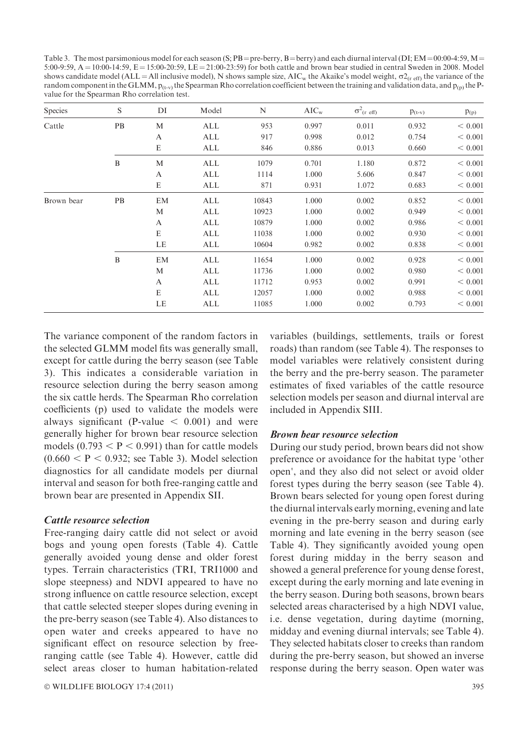Table 3. The most parsimonious model for each season (S; PB = pre-berry, B = berry) and each diurnal interval (DI; EM = 00:00-4:59, M = 5:00-9:59,  $A = 10:00-14:59$ ,  $E = 15:00-20:59$ ,  $LE = 21:00-23:59$ ) for both cattle and brown bear studied in central Sweden in 2008. Model shows candidate model (ALL = All inclusive model), N shows sample size, AIC<sub>w</sub> the Akaike's model weight,  $\sigma_{\text{Cr eff}}$  the variance of the random component in the GLMM,  $p_{(t-v)}$  the Spearman Rho correlation coefficient between the training and validation data, and  $p_{(p)}$  the Pvalue for the Spearman Rho correlation test.

| Species    | S            | DI | Model | N     | $AIC_w$ | $\sigma^2$ <sub>(r eff)</sub> | $p_{(t-v)}$ | $p_{(p)}$ |
|------------|--------------|----|-------|-------|---------|-------------------------------|-------------|-----------|
| Cattle     | PB           | M  | ALL   | 953   | 0.997   | 0.011                         | 0.932       | < 0.001   |
|            |              | A  | ALL   | 917   | 0.998   | 0.012                         | 0.754       | < 0.001   |
|            |              | E  | ALL   | 846   | 0.886   | 0.013                         | 0.660       | < 0.001   |
|            | $\, {\bf B}$ | M  | ALL   | 1079  | 0.701   | 1.180                         | 0.872       | < 0.001   |
|            |              | А  | ALL   | 1114  | 1.000   | 5.606                         | 0.847       | < 0.001   |
|            |              | E  | ALL   | 871   | 0.931   | 1.072                         | 0.683       | < 0.001   |
| Brown bear | PB           | EM | ALL   | 10843 | 1.000   | 0.002                         | 0.852       | < 0.001   |
|            |              | M  | ALL   | 10923 | 1.000   | 0.002                         | 0.949       | < 0.001   |
|            |              | A  | ALL   | 10879 | 1.000   | 0.002                         | 0.986       | < 0.001   |
|            |              | E  | ALL   | 11038 | 1.000   | 0.002                         | 0.930       | < 0.001   |
|            |              | LE | ALL   | 10604 | 0.982   | 0.002                         | 0.838       | < 0.001   |
|            | $\, {\bf B}$ | EM | ALL   | 11654 | 1.000   | 0.002                         | 0.928       | < 0.001   |
|            |              | M  | ALL   | 11736 | 1.000   | 0.002                         | 0.980       | < 0.001   |
|            |              | A  | ALL   | 11712 | 0.953   | 0.002                         | 0.991       | < 0.001   |
|            |              | E  | ALL   | 12057 | 1.000   | 0.002                         | 0.988       | < 0.001   |
|            |              | LE | ALL   | 11085 | 1.000   | 0.002                         | 0.793       | < 0.001   |

The variance component of the random factors in the selected GLMM model fits was generally small, except for cattle during the berry season (see Table 3). This indicates a considerable variation in resource selection during the berry season among the six cattle herds. The Spearman Rho correlation coefficients (p) used to validate the models were always significant (P-value  $\leq 0.001$ ) and were generally higher for brown bear resource selection models  $(0.793 < P < 0.991)$  than for cattle models  $(0.660 < P < 0.932$ ; see Table 3). Model selection diagnostics for all candidate models per diurnal interval and season for both free-ranging cattle and brown bear are presented in Appendix SII.

#### Cattle resource selection

Free-ranging dairy cattle did not select or avoid bogs and young open forests (Table 4). Cattle generally avoided young dense and older forest types. Terrain characteristics (TRI, TRI1000 and slope steepness) and NDVI appeared to have no strong influence on cattle resource selection, except that cattle selected steeper slopes during evening in the pre-berry season (see Table 4). Also distances to open water and creeks appeared to have no significant effect on resource selection by freeranging cattle (see Table 4). However, cattle did select areas closer to human habitation-related

© WILDLIFE BIOLOGY 17:4 (2011) 395

variables (buildings, settlements, trails or forest roads) than random (see Table 4). The responses to model variables were relatively consistent during the berry and the pre-berry season. The parameter estimates of fixed variables of the cattle resource selection models per season and diurnal interval are included in Appendix SIII.

## Brown bear resource selection

During our study period, brown bears did not show preference or avoidance for the habitat type 'other open', and they also did not select or avoid older forest types during the berry season (see Table 4). Brown bears selected for young open forest during the diurnal intervals early morning, evening and late evening in the pre-berry season and during early morning and late evening in the berry season (see Table 4). They significantly avoided young open forest during midday in the berry season and showed a general preference for young dense forest, except during the early morning and late evening in the berry season. During both seasons, brown bears selected areas characterised by a high NDVI value, i.e. dense vegetation, during daytime (morning, midday and evening diurnal intervals; see Table 4). They selected habitats closer to creeks than random during the pre-berry season, but showed an inverse response during the berry season. Open water was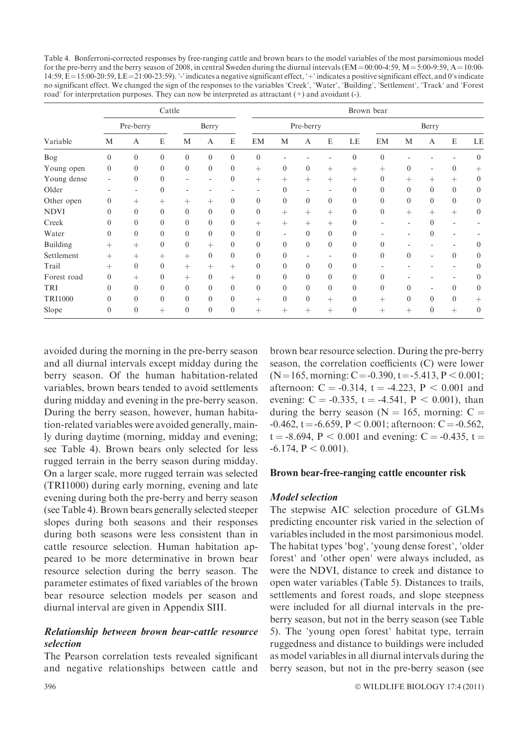Table 4. Bonferroni-corrected responses by free-ranging cattle and brown bears to the model variables of the most parsimonious model for the pre-berry and the berry season of 2008, in central Sweden during the diurnal intervals ( $EM = 00:00-4:59$ ,  $M = 5:00-9:59$ ,  $A = 10:00-1$  $14:59$ ,  $E=15:00-20:59$ ,  $LE=21:00-23:59$ ). '-' indicates a negative significant effect, '+' indicates a positive significant effect, and 0's indicate no significant effect. We changed the sign of the responses to the variables 'Creek', 'Water', 'Building', 'Settlement', 'Track' and 'Forest road' for interpretation purposes. They can now be interpreted as attractant  $(+)$  and avoidant  $(-)$ .

|                | Cattle       |                |              |                  |                  | Brown bear       |                  |              |                |                |              |                  |                |                          |              |                |
|----------------|--------------|----------------|--------------|------------------|------------------|------------------|------------------|--------------|----------------|----------------|--------------|------------------|----------------|--------------------------|--------------|----------------|
| Variable       | Pre-berry    |                |              | Berry            |                  | Pre-berry        |                  |              |                | Berry          |              |                  |                |                          |              |                |
|                | M            | A              | E            | M                | A                | E                | EM               | M            | A              | E              | LE           | EM               | M              | A                        | E            | LE             |
| Bog            | $\mathbf{0}$ | $\mathbf{0}$   | $\mathbf{0}$ | $\mathbf{0}$     | $\mathbf{0}$     | $\mathbf{0}$     | $\mathbf{0}$     |              |                |                | $\theta$     | $\mathbf{0}$     |                |                          |              | $\overline{0}$ |
| Young open     | $\mathbf{0}$ | $\overline{0}$ | $\mathbf{0}$ | $\boldsymbol{0}$ | $\mathbf{0}$     | $\overline{0}$   | $^{+}$           | $\mathbf{0}$ | $\overline{0}$ | $^{+}$         | $^{+}$       | $^{+}$           | $\mathbf{0}$   | $\overline{\phantom{a}}$ | $\mathbf{0}$ | $^{+}$         |
| Young dense    | ٠            | $\mathbf{0}$   | $\theta$     |                  | ٠                | $\overline{0}$   | $^{+}$           | $^{+}$       | $^{+}$         | $^{+}$         | $^{+}$       | $\mathbf{0}$     | $^{+}$         | $^{+}$                   | $^{+}$       | $\overline{0}$ |
| Older          |              |                | $\mathbf{0}$ |                  |                  |                  |                  | $\Omega$     |                |                | $\Omega$     | $\theta$         | $\overline{0}$ | $\overline{0}$           | $\mathbf{0}$ | $\overline{0}$ |
| Other open     | $\mathbf{0}$ | $^{+}$         | $^{+}$       | $^{+}$           | $^{+}$           | $\overline{0}$   | $\mathbf{0}$     | $\mathbf{0}$ | $\overline{0}$ | $\overline{0}$ | $\mathbf{0}$ | $\mathbf{0}$     | $\overline{0}$ | $\overline{0}$           | $\mathbf{0}$ | $\overline{0}$ |
| <b>NDVI</b>    | $\Omega$     | $\mathbf{0}$   | $\mathbf{0}$ | $\boldsymbol{0}$ | $\boldsymbol{0}$ | $\boldsymbol{0}$ | $\boldsymbol{0}$ | $^{+}$       | $^{+}$         | $^{+}$         | $\mathbf{0}$ | $\boldsymbol{0}$ | $^{+}$         | $^{+}$                   | $^{+}$       | $\overline{0}$ |
| Creek          | $\Omega$     | $\mathbf{0}$   | $\theta$     | $\mathbf{0}$     | $\mathbf{0}$     | $\overline{0}$   | $^{+}$           | $^{+}$       | $^{+}$         | $^{+}$         | $\theta$     |                  |                | $\theta$                 |              |                |
| Water          | $\theta$     | $\mathbf{0}$   | $\theta$     | $\mathbf{0}$     | $\mathbf{0}$     | $\overline{0}$   | $\mathbf{0}$     |              | $\Omega$       | $\overline{0}$ | $\Omega$     |                  |                | $\mathbf{0}$             |              |                |
| Building       | $^{+}$       | $^{+}$         | $\mathbf{0}$ | $\boldsymbol{0}$ | $^{+}$           | $\overline{0}$   | $\theta$         | $\theta$     | $\theta$       | $\overline{0}$ | $\theta$     | $\theta$         |                |                          |              | $\overline{0}$ |
| Settlement     | $^{+}$       | $^{+}$         | $^{+}$       | $^{+}$           | $\mathbf{0}$     | $\mathbf{0}$     | $\theta$         | $\Omega$     |                |                | $\Omega$     | $\theta$         | $\mathbf{0}$   | ۰                        | $\theta$     | $\overline{0}$ |
| Trail          | $^{+}$       | $\mathbf{0}$   | $\mathbf{0}$ | $^{+}$           | $^{+}$           | $^{+}$           | $\mathbf{0}$     | $\theta$     | $\Omega$       | $\Omega$       | $\theta$     |                  |                |                          |              | $\overline{0}$ |
| Forest road    | $\theta$     | $^{+}$         | $\mathbf{0}$ | $^{+}$           | $\boldsymbol{0}$ | $^{+}$           | $\mathbf{0}$     | $\Omega$     | $\Omega$       | $\mathbf{0}$   | $\theta$     | $\theta$         |                |                          |              | $\mathbf{0}$   |
| TRI            | $\Omega$     | $\mathbf{0}$   | $\mathbf{0}$ | $\mathbf{0}$     | $\mathbf{0}$     | $\overline{0}$   | $\mathbf{0}$     | $\Omega$     | $\Omega$       | $\mathbf{0}$   | $\Omega$     | $\theta$         | $\mathbf{0}$   | $\overline{\phantom{a}}$ | $\mathbf{0}$ | $\mathbf{0}$   |
| <b>TRI1000</b> | $\theta$     | $\mathbf{0}$   | $\mathbf{0}$ | $\mathbf{0}$     | $\mathbf{0}$     | $\overline{0}$   | $^{+}$           | $\theta$     | $\Omega$       | $^{+}$         | $\Omega$     | $^{+}$           | $\mathbf{0}$   | $\overline{0}$           | $\mathbf{0}$ | $^+$           |
| Slope          | $\theta$     | $\mathbf{0}$   | $^{+}$       | $\mathbf{0}$     | $\mathbf{0}$     | $\overline{0}$   | $^{+}$           | $^+$         | $^{+}$         | $^{+}$         | $\Omega$     | $^{+}$           | $^{+}$         | $\mathbf{0}$             | $^{+}$       | $\overline{0}$ |

avoided during the morning in the pre-berry season and all diurnal intervals except midday during the berry season. Of the human habitation-related variables, brown bears tended to avoid settlements during midday and evening in the pre-berry season. During the berry season, however, human habitation-related variables were avoided generally, mainly during daytime (morning, midday and evening; see Table 4). Brown bears only selected for less rugged terrain in the berry season during midday. On a larger scale, more rugged terrain was selected (TRI1000) during early morning, evening and late evening during both the pre-berry and berry season (see Table 4). Brown bears generally selected steeper slopes during both seasons and their responses during both seasons were less consistent than in cattle resource selection. Human habitation appeared to be more determinative in brown bear resource selection during the berry season. The parameter estimates of fixed variables of the brown bear resource selection models per season and diurnal interval are given in Appendix SIII.

## Relationship between brown bear-cattle resource selection

The Pearson correlation tests revealed significant and negative relationships between cattle and

brown bear resource selection. During the pre-berry season, the correlation coefficients (C) were lower  $(N=165, \text{ morning: } C = -0.390, t = -5.413, P < 0.001;$ afternoon:  $C = -0.314$ ,  $t = -4.223$ ,  $P < 0.001$  and evening:  $C = -0.335$ ,  $t = -4.541$ ,  $P < 0.001$ ), than during the berry season ( $N = 165$ , morning:  $C =$  $-0.462$ , t =  $-6.659$ , P < 0.001; afternoon: C =  $-0.562$ ,  $t = -8.694$ ,  $P < 0.001$  and evening: C = -0.435, t =  $-6.174$ ,  $P < 0.001$ ).

## Brown bear-free-ranging cattle encounter risk

#### Model selection

The stepwise AIC selection procedure of GLMs predicting encounter risk varied in the selection of variables included in the most parsimonious model. The habitat types 'bog', 'young dense forest', 'older forest' and 'other open' were always included, as were the NDVI, distance to creek and distance to open water variables (Table 5). Distances to trails, settlements and forest roads, and slope steepness were included for all diurnal intervals in the preberry season, but not in the berry season (see Table 5). The 'young open forest' habitat type, terrain ruggedness and distance to buildings were included as model variables in all diurnal intervals during the berry season, but not in the pre-berry season (see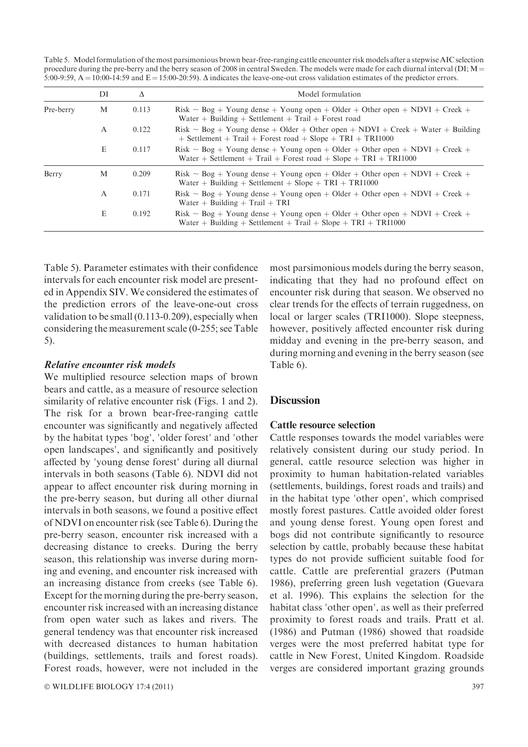Table 5. Model formulation of the most parsimonious brown bear-free-ranging cattle encounter risk models after a stepwise AIC selection procedure during the pre-berry and the berry season of 2008 in central Sweden. The models were made for each diurnal interval (DI;  $M =$ 5:00-9:59,  $A = 10:00-14:59$  and  $E = 15:00-20:59$ .  $\Delta$  indicates the leave-one-out cross validation estimates of the predictor errors.

|           | DI | Δ     | Model formulation                                                                                                                                         |
|-----------|----|-------|-----------------------------------------------------------------------------------------------------------------------------------------------------------|
| Pre-berry | М  | 0.113 | Risk ~ Bog + Young dense + Young open + Older + Other open + NDVI + Creek +<br>Water + Building + Settlement + Trail + Forest road                        |
|           | A  | 0.122 | Risk ~ Bog + Young dense + Older + Other open + NDVI + Creek + Water + Building<br>$+$ Settlement $+$ Trail $+$ Forest road $+$ Slope $+$ TRI $+$ TRI1000 |
|           | E  | 0.117 | Risk ~ Bog + Young dense + Young open + Older + Other open + NDVI + Creek +<br>Water + Settlement + Trail + Forest road + Slope + TRI + TRI1000           |
| Berry     | M  | 0.209 | Risk ~ Bog + Young dense + Young open + Older + Other open + NDVI + Creek +<br>Water + Building + Settlement + Slope + TRI + TRI1000                      |
|           | A  | 0.171 | Risk ~ Bog + Young dense + Young open + Older + Other open + NDVI + Creek +<br>Water + Building + Trail + TRI                                             |
|           | E  | 0.192 | Risk ~ Bog + Young dense + Young open + Older + Other open + NDVI + Creek +<br>Water + Building + Settlement + Trail + Slope + TRI + TRI1000              |

Table 5). Parameter estimates with their confidence intervals for each encounter risk model are presented in Appendix SIV. We considered the estimates of the prediction errors of the leave-one-out cross validation to be small (0.113-0.209), especially when considering the measurement scale (0-255; see Table 5).

## Relative encounter risk models

We multiplied resource selection maps of brown bears and cattle, as a measure of resource selection similarity of relative encounter risk (Figs. 1 and 2). The risk for a brown bear-free-ranging cattle encounter was significantly and negatively affected by the habitat types 'bog', 'older forest' and 'other open landscapes', and significantly and positively affected by 'young dense forest' during all diurnal intervals in both seasons (Table 6). NDVI did not appear to affect encounter risk during morning in the pre-berry season, but during all other diurnal intervals in both seasons, we found a positive effect of NDVI on encounter risk (see Table 6). During the pre-berry season, encounter risk increased with a decreasing distance to creeks. During the berry season, this relationship was inverse during morning and evening, and encounter risk increased with an increasing distance from creeks (see Table 6). Except for the morning during the pre-berry season, encounter risk increased with an increasing distance from open water such as lakes and rivers. The general tendency was that encounter risk increased with decreased distances to human habitation (buildings, settlements, trails and forest roads). Forest roads, however, were not included in the

© WILDLIFE BIOLOGY 17:4 (2011) 397

most parsimonious models during the berry season, indicating that they had no profound effect on encounter risk during that season. We observed no clear trends for the effects of terrain ruggedness, on local or larger scales (TRI1000). Slope steepness, however, positively affected encounter risk during midday and evening in the pre-berry season, and during morning and evening in the berry season (see Table 6).

#### **Discussion**

#### Cattle resource selection

Cattle responses towards the model variables were relatively consistent during our study period. In general, cattle resource selection was higher in proximity to human habitation-related variables (settlements, buildings, forest roads and trails) and in the habitat type 'other open', which comprised mostly forest pastures. Cattle avoided older forest and young dense forest. Young open forest and bogs did not contribute significantly to resource selection by cattle, probably because these habitat types do not provide sufficient suitable food for cattle. Cattle are preferential grazers (Putman 1986), preferring green lush vegetation (Guevara et al. 1996). This explains the selection for the habitat class 'other open', as well as their preferred proximity to forest roads and trails. Pratt et al. (1986) and Putman (1986) showed that roadside verges were the most preferred habitat type for cattle in New Forest, United Kingdom. Roadside verges are considered important grazing grounds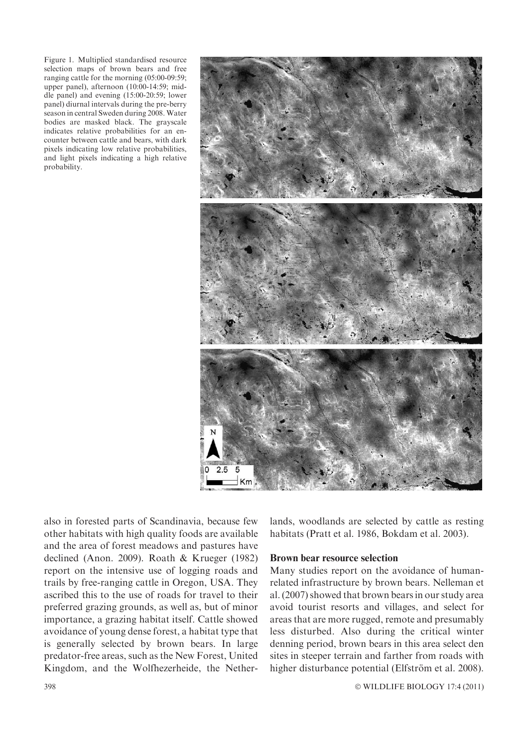Figure 1. Multiplied standardised resource selection maps of brown bears and free ranging cattle for the morning (05:00-09:59; upper panel), afternoon (10:00-14:59; middle panel) and evening (15:00-20:59; lower panel) diurnal intervals during the pre-berry season in central Sweden during 2008. Water bodies are masked black. The grayscale indicates relative probabilities for an encounter between cattle and bears, with dark pixels indicating low relative probabilities, and light pixels indicating a high relative probability.



also in forested parts of Scandinavia, because few other habitats with high quality foods are available and the area of forest meadows and pastures have declined (Anon. 2009). Roath & Krueger (1982) report on the intensive use of logging roads and trails by free-ranging cattle in Oregon, USA. They ascribed this to the use of roads for travel to their preferred grazing grounds, as well as, but of minor importance, a grazing habitat itself. Cattle showed avoidance of young dense forest, a habitat type that is generally selected by brown bears. In large predator-free areas, such as the New Forest, United Kingdom, and the Wolfhezerheide, the Netherlands, woodlands are selected by cattle as resting habitats (Pratt et al. 1986, Bokdam et al. 2003).

#### Brown bear resource selection

Many studies report on the avoidance of humanrelated infrastructure by brown bears. Nelleman et al. (2007) showed that brown bears in our study area avoid tourist resorts and villages, and select for areas that are more rugged, remote and presumably less disturbed. Also during the critical winter denning period, brown bears in this area select den sites in steeper terrain and farther from roads with higher disturbance potential (Elfström et al. 2008).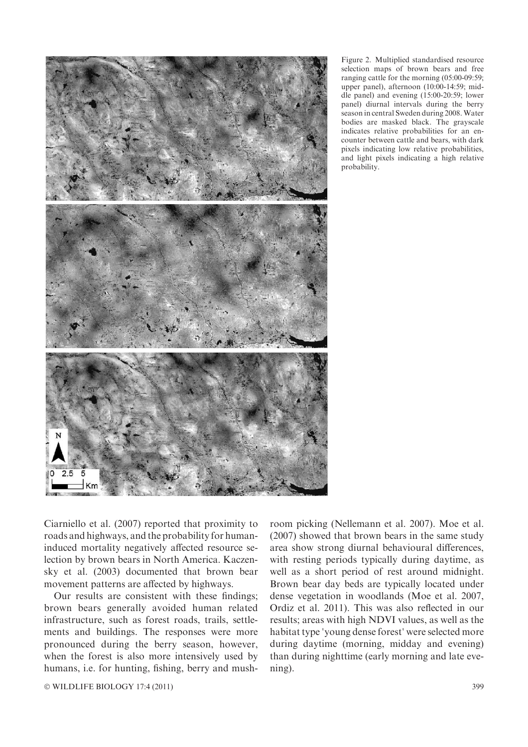

Figure 2. Multiplied standardised resource selection maps of brown bears and free ranging cattle for the morning (05:00-09:59; upper panel), afternoon (10:00-14:59; middle panel) and evening (15:00-20:59; lower panel) diurnal intervals during the berry season in central Sweden during 2008. Water bodies are masked black. The grayscale indicates relative probabilities for an encounter between cattle and bears, with dark pixels indicating low relative probabilities, and light pixels indicating a high relative probability.

Ciarniello et al. (2007) reported that proximity to roads and highways, and the probability for humaninduced mortality negatively affected resource selection by brown bears in North America. Kaczensky et al. (2003) documented that brown bear movement patterns are affected by highways.

Our results are consistent with these findings; brown bears generally avoided human related infrastructure, such as forest roads, trails, settlements and buildings. The responses were more pronounced during the berry season, however, when the forest is also more intensively used by humans, i.e. for hunting, fishing, berry and mush-

room picking (Nellemann et al. 2007). Moe et al. (2007) showed that brown bears in the same study area show strong diurnal behavioural differences, with resting periods typically during daytime, as well as a short period of rest around midnight. Brown bear day beds are typically located under dense vegetation in woodlands (Moe et al. 2007, Ordiz et al. 2011). This was also reflected in our results; areas with high NDVI values, as well as the habitat type 'young dense forest' were selected more during daytime (morning, midday and evening) than during nighttime (early morning and late evening).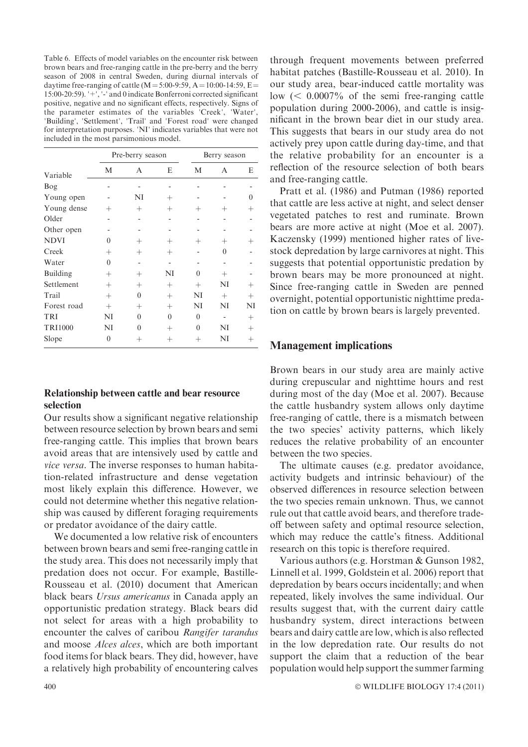Table 6. Effects of model variables on the encounter risk between brown bears and free-ranging cattle in the pre-berry and the berry season of 2008 in central Sweden, during diurnal intervals of daytime free-ranging of cattle  $(M = 5:00-9:59, A = 10:00-14:59, E =$ 15:00-20:59).  $\pm$ ,  $\pm$  and 0 indicate Bonferroni corrected significant positive, negative and no significant effects, respectively. Signs of the parameter estimates of the variables 'Creek', 'Water', 'Building', 'Settlement', 'Trail' and 'Forest road' were changed for interpretation purposes. 'NI' indicates variables that were not included in the most parsimonious model.

|                |                    | Pre-berry season |          | Berry season   |          |        |  |  |
|----------------|--------------------|------------------|----------|----------------|----------|--------|--|--|
| Variable       | М                  | А                | E        | M              | А        | E      |  |  |
| Bog            |                    |                  |          |                |          |        |  |  |
| Young open     |                    | NI               | $^{+}$   |                |          | 0      |  |  |
| Young dense    | $^{+}$             | $^{+}$           | $^{+}$   | $\overline{+}$ | $^{+}$   |        |  |  |
| Older          |                    |                  |          |                |          |        |  |  |
| Other open     |                    |                  |          |                |          |        |  |  |
| <b>NDVI</b>    | $\theta$           | $^{+}$           | $^{+}$   | $\pm$          | $^{+}$   |        |  |  |
| Creek          | $\hspace{0.1mm} +$ | $^{+}$           | $^{+}$   |                | $\Omega$ |        |  |  |
| Water          | $\theta$           |                  |          |                |          |        |  |  |
| Building       | $^{+}$             | $^{+}$           | NI       | $\theta$       | $^{+}$   |        |  |  |
| Settlement     | $^{+}$             | $^{+}$           | $^{+}$   | $^{+}$         | NI       |        |  |  |
| Trail          | $^{+}$             | $\theta$         | $^{+}$   | NI             | $^{+}$   | $^{+}$ |  |  |
| Forest road    | $^{+}$             | $^{+}$           | $^{+}$   | NI             | NI       | NI     |  |  |
| TRI            | NI                 | $\theta$         | $\theta$ | $\theta$       |          | $^{+}$ |  |  |
| <b>TRI1000</b> | NI                 | 0                | $^{+}$   | $\Omega$       | NI       | $^{+}$ |  |  |
| Slope          | 0                  | $^+$             | $^+$     | $^+$           | NI       | ┿      |  |  |

## Relationship between cattle and bear resource selection

Our results show a significant negative relationship between resource selection by brown bears and semi free-ranging cattle. This implies that brown bears avoid areas that are intensively used by cattle and vice versa. The inverse responses to human habitation-related infrastructure and dense vegetation most likely explain this difference. However, we could not determine whether this negative relationship was caused by different foraging requirements or predator avoidance of the dairy cattle.

We documented a low relative risk of encounters between brown bears and semi free-ranging cattle in the study area. This does not necessarily imply that predation does not occur. For example, Bastille-Rousseau et al. (2010) document that American black bears Ursus americanus in Canada apply an opportunistic predation strategy. Black bears did not select for areas with a high probability to encounter the calves of caribou Rangifer tarandus and moose Alces alces, which are both important food items for black bears. They did, however, have a relatively high probability of encountering calves

through frequent movements between preferred habitat patches (Bastille-Rousseau et al. 2010). In our study area, bear-induced cattle mortality was low  $(< 0.0007\%$  of the semi free-ranging cattle population during 2000-2006), and cattle is insignificant in the brown bear diet in our study area. This suggests that bears in our study area do not actively prey upon cattle during day-time, and that the relative probability for an encounter is a reflection of the resource selection of both bears and free-ranging cattle.

Pratt et al. (1986) and Putman (1986) reported that cattle are less active at night, and select denser vegetated patches to rest and ruminate. Brown bears are more active at night (Moe et al. 2007). Kaczensky (1999) mentioned higher rates of livestock depredation by large carnivores at night. This suggests that potential opportunistic predation by brown bears may be more pronounced at night. Since free-ranging cattle in Sweden are penned overnight, potential opportunistic nighttime predation on cattle by brown bears is largely prevented.

## Management implications

Brown bears in our study area are mainly active during crepuscular and nighttime hours and rest during most of the day (Moe et al. 2007). Because the cattle husbandry system allows only daytime free-ranging of cattle, there is a mismatch between the two species' activity patterns, which likely reduces the relative probability of an encounter between the two species.

The ultimate causes (e.g. predator avoidance, activity budgets and intrinsic behaviour) of the observed differences in resource selection between the two species remain unknown. Thus, we cannot rule out that cattle avoid bears, and therefore tradeoff between safety and optimal resource selection, which may reduce the cattle's fitness. Additional research on this topic is therefore required.

Various authors (e.g. Horstman & Gunson 1982, Linnell et al. 1999, Goldstein et al. 2006) report that depredation by bears occurs incidentally; and when repeated, likely involves the same individual. Our results suggest that, with the current dairy cattle husbandry system, direct interactions between bears and dairy cattle are low, which is also reflected in the low depredation rate. Our results do not support the claim that a reduction of the bear population would help support the summer farming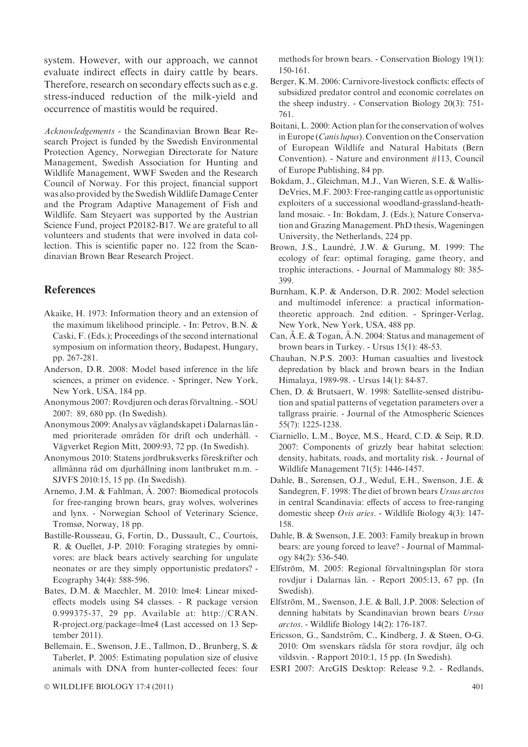system. However, with our approach, we cannot evaluate indirect effects in dairy cattle by bears. Therefore, research on secondary effects such as e.g. stress-induced reduction of the milk-yield and occurrence of mastitis would be required.

Acknowledgements - the Scandinavian Brown Bear Research Project is funded by the Swedish Environmental Protection Agency, Norwegian Directorate for Nature Management, Swedish Association for Hunting and Wildlife Management, WWF Sweden and the Research Council of Norway. For this project, financial support was also provided by the SwedishWildlife Damage Center and the Program Adaptive Management of Fish and Wildlife. Sam Steyaert was supported by the Austrian Science Fund, project P20182-B17. We are grateful to all volunteers and students that were involved in data collection. This is scientific paper no. 122 from the Scandinavian Brown Bear Research Project.

## References

- Akaike, H. 1973: Information theory and an extension of the maximum likelihood principle. - In: Petrov, B.N. & Caski, F. (Eds.); Proceedings of the second international symposium on information theory, Budapest, Hungary, pp. 267-281.
- Anderson, D.R. 2008: Model based inference in the life sciences, a primer on evidence. - Springer, New York, New York, USA, 184 pp.
- Anonymous 2007: Rovdjuren och deras förvaltning. SOU 2007: 89, 680 pp. (In Swedish).
- Anonymous 2009: Analys av väglandskapet i Dalarnas län med prioriterade områden för drift och underhåll. -Vägverket Region Mitt, 2009:93, 72 pp. (In Swedish).
- Anonymous 2010: Statens jordbruksverks föreskrifter och allmänna råd om djurhållning inom lantbruket m.m. -SJVFS 2010:15, 15 pp. (In Swedish).
- Arnemo, J.M. & Fahlman, Å. 2007: Biomedical protocols for free-ranging brown bears, gray wolves, wolverines and lynx. - Norwegian School of Veterinary Science, Tromsø, Norway, 18 pp.
- Bastille-Rousseau, G, Fortin, D., Dussault, C., Courtois, R. & Ouellet, J-P. 2010: Foraging strategies by omnivores: are black bears actively searching for ungulate neonates or are they simply opportunistic predators? - Ecography 34(4): 588-596.
- Bates, D.M. & Maechler, M. 2010: lme4: Linear mixedeffects models using S4 classes. - R package version 0.999375-37, 29 pp. Available at: http://CRAN. R-project.org/package=lme4 (Last accessed on 13 September 2011).
- Bellemain, E., Swenson, J.E., Tallmon, D., Brunberg, S. & Taberlet, P. 2005: Estimating population size of elusive animals with DNA from hunter-collected feces: four

methods for brown bears. - Conservation Biology 19(1): 150-161.

- Berger, K.M. 2006: Carnivore-livestock conflicts: effects of subsidized predator control and economic correlates on the sheep industry. - Conservation Biology 20(3): 751- 761.
- Boitani, L. 2000: Action plan for the conservation of wolves in Europe (Canis lupus). Convention on the Conservation of European Wildlife and Natural Habitats (Bern Convention). - Nature and environment #113, Council of Europe Publishing, 84 pp.
- Bokdam, J., Gleichman, M.J., Van Wieren, S.E. & Wallis-DeVries, M.F. 2003: Free-ranging cattle as opportunistic exploiters of a successional woodland-grassland-heathland mosaic. - In: Bokdam, J. (Eds.); Nature Conservation and Grazing Management. PhD thesis, Wageningen University, the Netherlands, 224 pp.
- Brown, J.S., Laundré, J.W. & Gurung, M. 1999: The ecology of fear: optimal foraging, game theory, and trophic interactions. - Journal of Mammalogy 80: 385- 399.
- Burnham, K.P. & Anderson, D.R. 2002: Model selection and multimodel inference: a practical informationtheoretic approach. 2nd edition. - Springer-Verlag, New York, New York, USA, 488 pp.
- Can,  $\tilde{A}$ .E. & Togan,  $\tilde{A}$ .N. 2004: Status and management of brown bears in Turkey. - Ursus 15(1): 48-53.
- Chauhan, N.P.S. 2003: Human casualties and livestock depredation by black and brown bears in the Indian Himalaya, 1989-98. - Ursus 14(1): 84-87.
- Chen, D. & Brutsaert, W. 1998: Satellite-sensed distribution and spatial patterns of vegetation parameters over a tallgrass prairie. - Journal of the Atmospheric Sciences 55(7): 1225-1238.
- Ciarniello, L.M., Boyce, M.S., Heard, C.D. & Seip, R.D. 2007: Components of grizzly bear habitat selection: density, habitats, roads, and mortality risk. - Journal of Wildlife Management 71(5): 1446-1457.
- Dahle, B., Sørensen, O.J., Wedul, E.H., Swenson, J.E. & Sandegren, F. 1998: The diet of brown bears Ursus arctos in central Scandinavia: effects of access to free-ranging domestic sheep Ovis aries. - Wildlife Biology 4(3): 147- 158.
- Dahle, B. & Swenson, J.E. 2003: Family breakup in brown bears: are young forced to leave? - Journal of Mammalogy 84(2): 536-540.
- Elfström, M. 2005: Regional förvaltningsplan för stora rovdjur i Dalarnas län. - Report 2005:13, 67 pp. (In Swedish).
- Elfström, M., Swenson, J.E. & Ball, J.P. 2008: Selection of denning habitats by Scandinavian brown bears Ursus arctos. - Wildlife Biology 14(2): 176-187.
- Ericsson, G., Sandström, C., Kindberg, J. & Støen, O-G. 2010: Om svenskars rädsla för stora rovdjur, älg och vildsvin. - Rapport 2010:1, 15 pp. (In Swedish).
- ESRI 2007: ArcGIS Desktop: Release 9.2. Redlands,

 $\odot$  WILDLIFE BIOLOGY 17:4 (2011) 401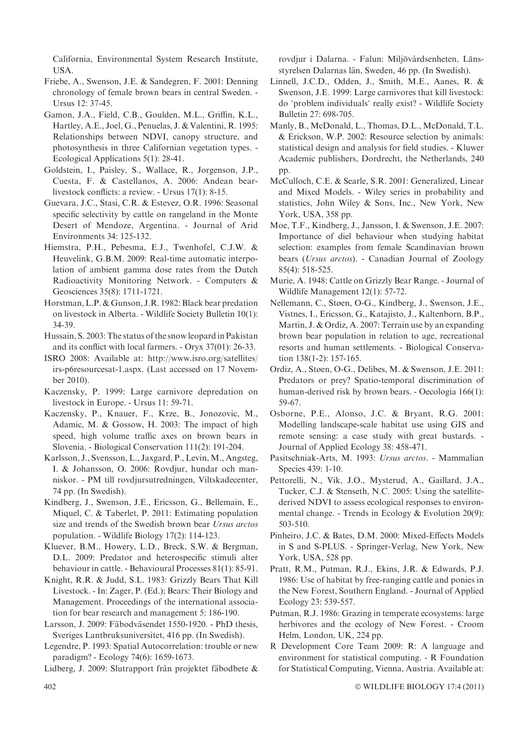California, Environmental System Research Institute, USA.

Friebe, A., Swenson, J.E. & Sandegren, F. 2001: Denning chronology of female brown bears in central Sweden. - Ursus 12: 37-45.

Gamon, J.A., Field, C.B., Goulden, M.L., Griffin, K.L., Hartley, A.E., Joel, G., Penuelas, J. & Valentini, R. 1995: Relationships between NDVI, canopy structure, and photosynthesis in three Californian vegetation types. - Ecological Applications 5(1): 28-41.

- Goldstein, I., Paisley, S., Wallace, R., Jorgenson, J.P., Cuesta, F. & Castellanos, A. 2006: Andean bearlivestock conflicts: a review. - Ursus 17(1): 8-15.
- Guevara, J.C., Stasi, C.R. & Estevez, O.R. 1996: Seasonal specific selectivity by cattle on rangeland in the Monte Desert of Mendoze, Argentina. - Journal of Arid Environments 34: 125-132.
- Hiemstra, P.H., Pebesma, E.J., Twenhofel, C.J.W. & Heuvelink, G.B.M. 2009: Real-time automatic interpolation of ambient gamma dose rates from the Dutch Radioactivity Monitoring Network. - Computers & Geosciences 35(8): 1711-1721.
- Horstman, L.P. & Gunson, J.R. 1982: Black bear predation on livestock in Alberta. - Wildlife Society Bulletin 10(1): 34-39.

Hussain, S. 2003: The status of the snow leopard in Pakistan and its conflict with local farmers. - Oryx 37(01): 26-33.

ISRO 2008: Available at: http://www.isro.org/satellites/ irs-p6resourcesat-1.aspx. (Last accessed on 17 November 2010).

Kaczensky, P. 1999: Large carnivore depredation on livestock in Europe. - Ursus 11: 59-71.

Kaczensky, P., Knauer, F., Krze, B., Jonozovic, M., Adamic, M. & Gossow, H. 2003: The impact of high speed, high volume traffic axes on brown bears in Slovenia. - Biological Conservation 111(2): 191-204.

Karlsson, J., Svensson, L., Jaxgard, P., Levin, M., Angsteg, I. & Johansson, O. 2006: Rovdjur, hundar och manniskor. - PM till rovdjursutredningen, Viltskadecenter, 74 pp. (In Swedish).

Kindberg, J., Swenson, J.E., Ericsson, G., Bellemain, E., Miquel, C. & Taberlet, P. 2011: Estimating population size and trends of the Swedish brown bear Ursus arctos population. - Wildlife Biology 17(2): 114-123.

Kluever, B.M., Howery, L.D., Breck, S.W. & Bergman, D.L. 2009: Predator and heterospecific stimuli alter behaviour in cattle. - Behavioural Processes 81(1): 85-91.

Knight, R.R. & Judd, S.L. 1983: Grizzly Bears That Kill Livestock. - In: Zager, P. (Ed.); Bears: Their Biology and Management. Proceedings of the international association for bear research and management 5: 186-190.

Larsson, J. 2009: Fäbodväsendet 1550-1920. - PhD thesis, Sveriges Lantbruksuniversitet, 416 pp. (In Swedish).

Legendre, P. 1993: Spatial Autocorrelation: trouble or new paradigm? - Ecology 74(6): 1659-1673.

Lidberg, J. 2009: Slutrapport från projektet fäbodbete  $\&$ 

rovdjur i Dalarna. - Falun: Miljövårdsenheten, Länsstyrelsen Dalarnas län, Sweden, 46 pp. (In Swedish).

- Linnell, J.C.D., Odden, J., Smith, M.E., Aanes, R. & Swenson, J.E. 1999: Large carnivores that kill livestock: do 'problem individuals' really exist? - Wildlife Society Bulletin 27: 698-705.
- Manly, B., McDonald, L., Thomas, D.L., McDonald, T.L. & Erickson, W.P. 2002: Resource selection by animals: statistical design and analysis for field studies. - Kluwer Academic publishers, Dordrecht, the Netherlands, 240 pp.
- McCulloch, C.E. & Searle, S.R. 2001: Generalized, Linear and Mixed Models. - Wiley series in probability and statistics, John Wiley & Sons, Inc., New York, New York, USA, 358 pp.
- Moe, T.F., Kindberg, J., Jansson, I. & Swenson, J.E. 2007: Importance of diel behaviour when studying habitat selection: examples from female Scandinavian brown bears (Ursus arctos). - Canadian Journal of Zoology 85(4): 518-525.
- Murie, A. 1948: Cattle on Grizzly Bear Range. Journal of Wildlife Management 12(1): 57-72.
- Nellemann, C., Støen, O-G., Kindberg, J., Swenson, J.E., Vistnes, I., Ericsson, G., Katajisto, J., Kaltenborn, B.P., Martin, J. & Ordiz, A. 2007: Terrain use by an expanding brown bear population in relation to age, recreational resorts and human settlements. - Biological Conservation 138(1-2): 157-165.
- Ordiz, A., Støen, O-G., Delibes, M. & Swenson, J.E. 2011: Predators or prey? Spatio-temporal discrimination of human-derived risk by brown bears. - Oecologia 166(1): 59-67.
- Osborne, P.E., Alonso, J.C. & Bryant, R.G. 2001: Modelling landscape-scale habitat use using GIS and remote sensing: a case study with great bustards. - Journal of Applied Ecology 38: 458-471.
- Pasitschniak-Arts, M. 1993: Ursus arctos. Mammalian Species 439: 1-10.
- Pettorelli, N., Vik, J.O., Mysterud, A., Gaillard, J.A., Tucker, C.J. & Stenseth, N.C. 2005: Using the satellitederived NDVI to assess ecological responses to environmental change. - Trends in Ecology & Evolution 20(9): 503-510.
- Pinheiro, J.C. & Bates, D.M. 2000: Mixed-Effects Models in S and S-PLUS. - Springer-Verlag, New York, New York, USA, 528 pp.
- Pratt, R.M., Putman, R.J., Ekins, J.R. & Edwards, P.J. 1986: Use of habitat by free-ranging cattle and ponies in the New Forest, Southern England. - Journal of Applied Ecology 23: 539-557.
- Putman, R.J. 1986: Grazing in temperate ecosystems: large herbivores and the ecology of New Forest. - Croom Helm, London, UK, 224 pp.
- R Development Core Team 2009: R: A language and environment for statistical computing. - R Foundation for Statistical Computing, Vienna, Austria. Available at: